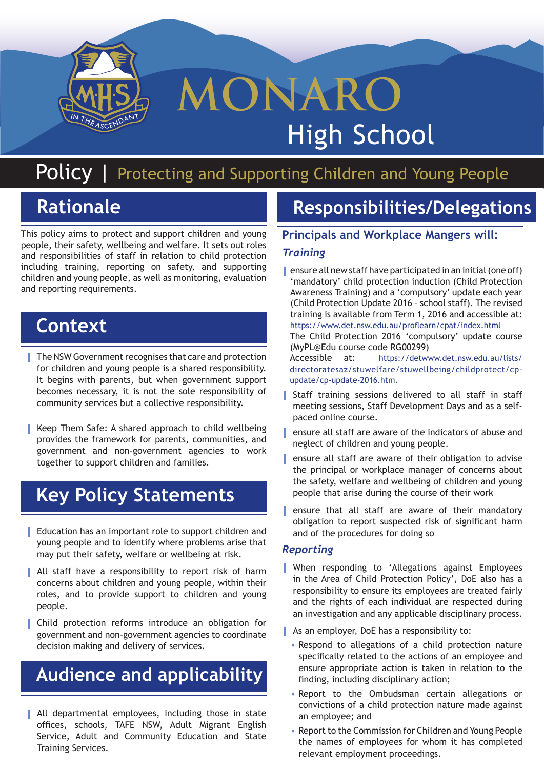

# **MONARO** High School

# Policy *|* Protecting and Supporting Children and Young People

# **Rationale**

This policy aims to protect and support children and young people, their safety, wellbeing and welfare. It sets out roles and responsibilities of staff in relation to child protection including training, reporting on safety, and supporting children and young people, as well as monitoring, evaluation and reporting requirements.

### **Context**

- **|** The NSW Government recognises that care and protection for children and young people is a shared responsibility. It begins with parents, but when government support becomes necessary, it is not the sole responsibility of community services but a collective responsibility.
- **|** Keep Them Safe: A shared approach to child wellbeing provides the framework for parents, communities, and government and non-government agencies to work together to support children and families.

# **Key Policy Statements**

- **|** Education has an important role to support children and young people and to identify where problems arise that may put their safety, welfare or wellbeing at risk.
- **|** All staff have a responsibility to report risk of harm concerns about children and young people, within their roles, and to provide support to children and young people.
- **|** Child protection reforms introduce an obligation for government and non-government agencies to coordinate decision making and delivery of services.

# **Audience and applicability**

**|** All departmental employees, including those in state offices, schools, TAFE NSW, Adult Migrant English Service, Adult and Community Education and State Training Services.

# **Responsibilities/Delegations**

#### **Principals and Workplace Mangers will:**

#### *Training*

**|** ensure all new staff have participated in an initial (one off) 'mandatory' child protection induction (Child Protection Awareness Training) and a 'compulsory' update each year (Child Protection Update 2016 – school staff). The revised training is available from Term 1, 2016 and accessible at: https://www.det.nsw.edu.au/proflearn/cpat/index.html The Child Protection 2016 'compulsory' update course (MyPL@Edu course code RG00299)

Accessible at: https://detwww.det.nsw.edu.au/lists/ directoratesaz/stuwelfare/stuwellbeing/childprotect/cpupdate/cp-update-2016.htm.

- **|** Staff training sessions delivered to all staff in staff meeting sessions, Staff Development Days and as a selfpaced online course.
- **|** ensure all staff are aware of the indicators of abuse and neglect of children and young people.
- **|** ensure all staff are aware of their obligation to advise the principal or workplace manager of concerns about the safety, welfare and wellbeing of children and young people that arise during the course of their work
- **|** ensure that all staff are aware of their mandatory obligation to report suspected risk of significant harm and of the procedures for doing so

#### *Reporting*

- **|** When responding to 'Allegations against Employees in the Area of Child Protection Policy', DoE also has a responsibility to ensure its employees are treated fairly and the rights of each individual are respected during an investigation and any applicable disciplinary process.
- **|** As an employer, DoE has a responsibility to:
	- Respond to allegations of a child protection nature specifically related to the actions of an employee and ensure appropriate action is taken in relation to the finding, including disciplinary action;
	- Report to the Ombudsman certain allegations or convictions of a child protection nature made against an employee; and
	- Report to the Commission for Children and Young People the names of employees for whom it has completed relevant employment proceedings.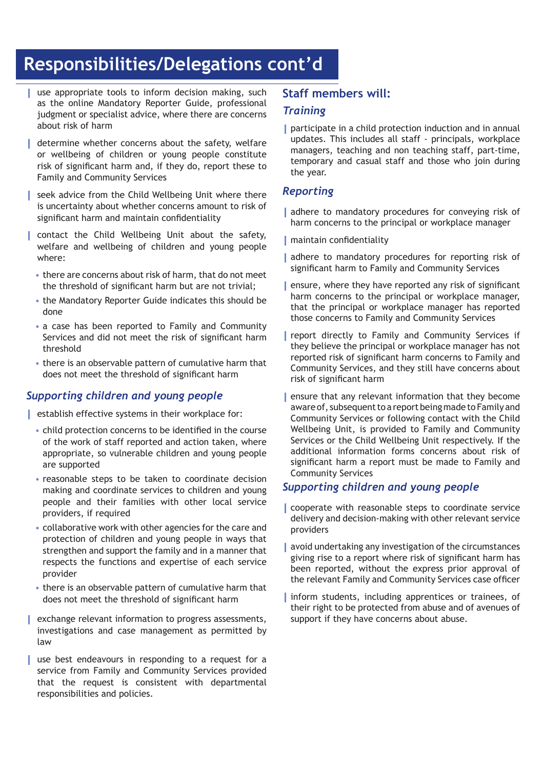# **Responsibilities/Delegations cont'd**

- **|** use appropriate tools to inform decision making, such as the online Mandatory Reporter Guide, professional judgment or specialist advice, where there are concerns about risk of harm
- **|** determine whether concerns about the safety, welfare or wellbeing of children or young people constitute risk of significant harm and, if they do, report these to Family and Community Services
- **|** seek advice from the Child Wellbeing Unit where there is uncertainty about whether concerns amount to risk of significant harm and maintain confidentiality
- **|** contact the Child Wellbeing Unit about the safety, welfare and wellbeing of children and young people where:
- there are concerns about risk of harm, that do not meet the threshold of significant harm but are not trivial;
- the Mandatory Reporter Guide indicates this should be done
- a case has been reported to Family and Community Services and did not meet the risk of significant harm threshold
- there is an observable pattern of cumulative harm that does not meet the threshold of significant harm

#### *Supporting children and young people*

- **|** establish effective systems in their workplace for:
	- child protection concerns to be identified in the course of the work of staff reported and action taken, where appropriate, so vulnerable children and young people are supported
	- reasonable steps to be taken to coordinate decision making and coordinate services to children and young people and their families with other local service providers, if required
	- collaborative work with other agencies for the care and protection of children and young people in ways that strengthen and support the family and in a manner that respects the functions and expertise of each service provider
	- there is an observable pattern of cumulative harm that does not meet the threshold of significant harm
- **|** exchange relevant information to progress assessments, investigations and case management as permitted by law
- **|** use best endeavours in responding to a request for a service from Family and Community Services provided that the request is consistent with departmental responsibilities and policies.

#### **Staff members will:**

#### *Training*

**|** participate in a child protection induction and in annual updates. This includes all staff - principals, workplace managers, teaching and non teaching staff, part-time, temporary and casual staff and those who join during the year.

#### *Reporting*

- **|** adhere to mandatory procedures for conveying risk of harm concerns to the principal or workplace manager
- **|** maintain confidentiality
- **|** adhere to mandatory procedures for reporting risk of significant harm to Family and Community Services
- **|** ensure, where they have reported any risk of significant harm concerns to the principal or workplace manager, that the principal or workplace manager has reported those concerns to Family and Community Services
- **|** report directly to Family and Community Services if they believe the principal or workplace manager has not reported risk of significant harm concerns to Family and Community Services, and they still have concerns about risk of significant harm
- **|** ensure that any relevant information that they become aware of, subsequent to a report being made to Family and Community Services or following contact with the Child Wellbeing Unit, is provided to Family and Community Services or the Child Wellbeing Unit respectively. If the additional information forms concerns about risk of significant harm a report must be made to Family and Community Services

#### *Supporting children and young people*

- **|** cooperate with reasonable steps to coordinate service delivery and decision-making with other relevant service providers
- **|** avoid undertaking any investigation of the circumstances giving rise to a report where risk of significant harm has been reported, without the express prior approval of the relevant Family and Community Services case officer
- **|** inform students, including apprentices or trainees, of their right to be protected from abuse and of avenues of support if they have concerns about abuse.